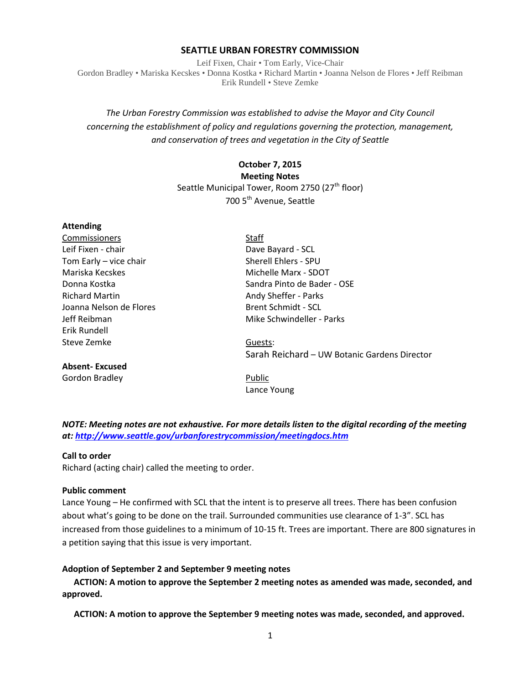#### **SEATTLE URBAN FORESTRY COMMISSION**

Leif Fixen, Chair • Tom Early, Vice-Chair Gordon Bradley • Mariska Kecskes • Donna Kostka • Richard Martin • Joanna Nelson de Flores • Jeff Reibman Erik Rundell • Steve Zemke

# *The Urban Forestry Commission was established to advise the Mayor and City Council concerning the establishment of policy and regulations governing the protection, management, and conservation of trees and vegetation in the City of Seattle*

# **October 7, 2015 Meeting Notes** Seattle Municipal Tower, Room 2750 (27<sup>th</sup> floor) 700 5<sup>th</sup> Avenue. Seattle

| <b>Attending</b>        |                                              |
|-------------------------|----------------------------------------------|
| Commissioners           | Staff                                        |
| Leif Fixen - chair      | Dave Bayard - SCL                            |
| Tom Early - vice chair  | Sherell Ehlers - SPU                         |
| Mariska Kecskes         | Michelle Marx - SDOT                         |
| Donna Kostka            | Sandra Pinto de Bader - OSE                  |
| <b>Richard Martin</b>   | Andy Sheffer - Parks                         |
| Joanna Nelson de Flores | Brent Schmidt - SCL                          |
| Jeff Reibman            | Mike Schwindeller - Parks                    |
| Erik Rundell            |                                              |
| Steve Zemke             | Guests:                                      |
|                         | Sarah Reichard - UW Botanic Gardens Director |
| <b>Absent-Excused</b>   |                                              |
|                         |                                              |

Gordon Bradley **Public** Lance Young

*NOTE: Meeting notes are not exhaustive. For more details listen to the digital recording of the meeting at:<http://www.seattle.gov/urbanforestrycommission/meetingdocs.htm>*

#### **Call to order**

Richard (acting chair) called the meeting to order.

#### **Public comment**

Lance Young – He confirmed with SCL that the intent is to preserve all trees. There has been confusion about what's going to be done on the trail. Surrounded communities use clearance of 1-3". SCL has increased from those guidelines to a minimum of 10-15 ft. Trees are important. There are 800 signatures in a petition saying that this issue is very important.

#### **Adoption of September 2 and September 9 meeting notes**

**ACTION: A motion to approve the September 2 meeting notes as amended was made, seconded, and approved.** 

**ACTION: A motion to approve the September 9 meeting notes was made, seconded, and approved.**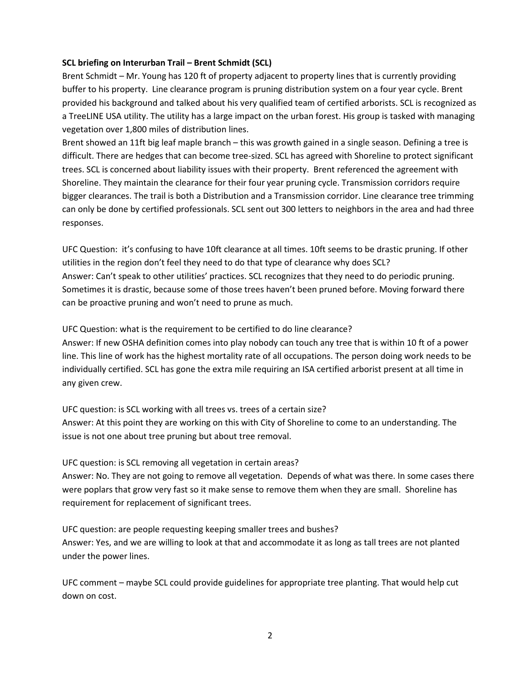#### **SCL briefing on Interurban Trail – Brent Schmidt (SCL)**

Brent Schmidt – Mr. Young has 120 ft of property adjacent to property lines that is currently providing buffer to his property. Line clearance program is pruning distribution system on a four year cycle. Brent provided his background and talked about his very qualified team of certified arborists. SCL is recognized as a TreeLINE USA utility. The utility has a large impact on the urban forest. His group is tasked with managing vegetation over 1,800 miles of distribution lines.

Brent showed an 11ft big leaf maple branch – this was growth gained in a single season. Defining a tree is difficult. There are hedges that can become tree-sized. SCL has agreed with Shoreline to protect significant trees. SCL is concerned about liability issues with their property. Brent referenced the agreement with Shoreline. They maintain the clearance for their four year pruning cycle. Transmission corridors require bigger clearances. The trail is both a Distribution and a Transmission corridor. Line clearance tree trimming can only be done by certified professionals. SCL sent out 300 letters to neighbors in the area and had three responses.

UFC Question: it's confusing to have 10ft clearance at all times. 10ft seems to be drastic pruning. If other utilities in the region don't feel they need to do that type of clearance why does SCL? Answer: Can't speak to other utilities' practices. SCL recognizes that they need to do periodic pruning. Sometimes it is drastic, because some of those trees haven't been pruned before. Moving forward there can be proactive pruning and won't need to prune as much.

UFC Question: what is the requirement to be certified to do line clearance?

Answer: If new OSHA definition comes into play nobody can touch any tree that is within 10 ft of a power line. This line of work has the highest mortality rate of all occupations. The person doing work needs to be individually certified. SCL has gone the extra mile requiring an ISA certified arborist present at all time in any given crew.

UFC question: is SCL working with all trees vs. trees of a certain size? Answer: At this point they are working on this with City of Shoreline to come to an understanding. The issue is not one about tree pruning but about tree removal.

UFC question: is SCL removing all vegetation in certain areas?

Answer: No. They are not going to remove all vegetation. Depends of what was there. In some cases there were poplars that grow very fast so it make sense to remove them when they are small. Shoreline has requirement for replacement of significant trees.

UFC question: are people requesting keeping smaller trees and bushes? Answer: Yes, and we are willing to look at that and accommodate it as long as tall trees are not planted under the power lines.

UFC comment – maybe SCL could provide guidelines for appropriate tree planting. That would help cut down on cost.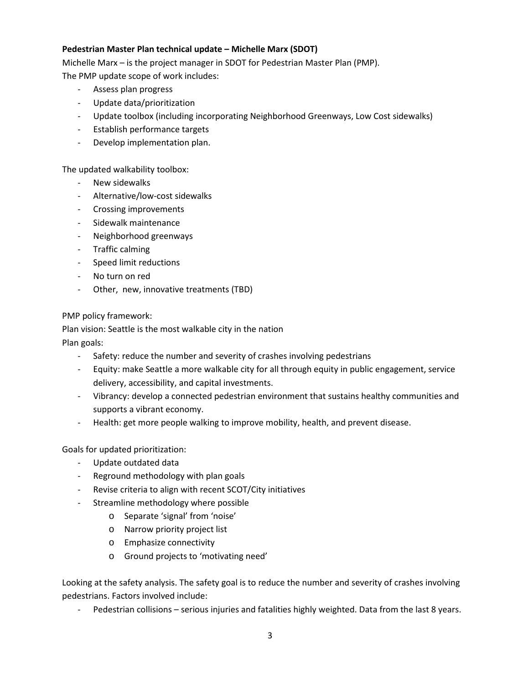# **Pedestrian Master Plan technical update – Michelle Marx (SDOT)**

Michelle Marx – is the project manager in SDOT for Pedestrian Master Plan (PMP). The PMP update scope of work includes:

- Assess plan progress
- Update data/prioritization
- Update toolbox (including incorporating Neighborhood Greenways, Low Cost sidewalks)
- Establish performance targets
- Develop implementation plan.

The updated walkability toolbox:

- New sidewalks
- Alternative/low-cost sidewalks
- Crossing improvements
- Sidewalk maintenance
- Neighborhood greenways
- Traffic calming
- Speed limit reductions
- No turn on red
- Other, new, innovative treatments (TBD)

PMP policy framework:

Plan vision: Seattle is the most walkable city in the nation

Plan goals:

- Safety: reduce the number and severity of crashes involving pedestrians
- Equity: make Seattle a more walkable city for all through equity in public engagement, service delivery, accessibility, and capital investments.
- Vibrancy: develop a connected pedestrian environment that sustains healthy communities and supports a vibrant economy.
- Health: get more people walking to improve mobility, health, and prevent disease.

Goals for updated prioritization:

- Update outdated data
- Reground methodology with plan goals
- Revise criteria to align with recent SCOT/City initiatives
- Streamline methodology where possible
	- o Separate 'signal' from 'noise'
	- o Narrow priority project list
	- o Emphasize connectivity
	- o Ground projects to 'motivating need'

Looking at the safety analysis. The safety goal is to reduce the number and severity of crashes involving pedestrians. Factors involved include:

Pedestrian collisions – serious injuries and fatalities highly weighted. Data from the last 8 years.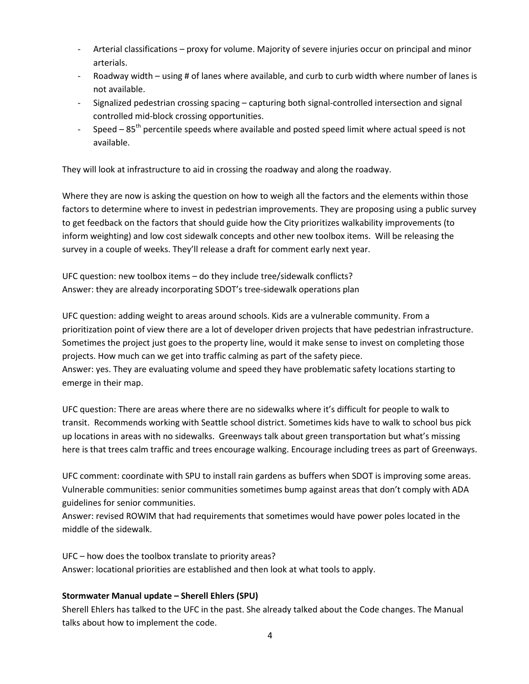- Arterial classifications proxy for volume. Majority of severe injuries occur on principal and minor arterials.
- Roadway width using # of lanes where available, and curb to curb width where number of lanes is not available.
- Signalized pedestrian crossing spacing capturing both signal-controlled intersection and signal controlled mid-block crossing opportunities.
- Speed  $-85<sup>th</sup>$  percentile speeds where available and posted speed limit where actual speed is not available.

They will look at infrastructure to aid in crossing the roadway and along the roadway.

Where they are now is asking the question on how to weigh all the factors and the elements within those factors to determine where to invest in pedestrian improvements. They are proposing using a public survey to get feedback on the factors that should guide how the City prioritizes walkability improvements (to inform weighting) and low cost sidewalk concepts and other new toolbox items. Will be releasing the survey in a couple of weeks. They'll release a draft for comment early next year.

UFC question: new toolbox items – do they include tree/sidewalk conflicts? Answer: they are already incorporating SDOT's tree-sidewalk operations plan

UFC question: adding weight to areas around schools. Kids are a vulnerable community. From a prioritization point of view there are a lot of developer driven projects that have pedestrian infrastructure. Sometimes the project just goes to the property line, would it make sense to invest on completing those projects. How much can we get into traffic calming as part of the safety piece. Answer: yes. They are evaluating volume and speed they have problematic safety locations starting to emerge in their map.

UFC question: There are areas where there are no sidewalks where it's difficult for people to walk to transit. Recommends working with Seattle school district. Sometimes kids have to walk to school bus pick up locations in areas with no sidewalks. Greenways talk about green transportation but what's missing here is that trees calm traffic and trees encourage walking. Encourage including trees as part of Greenways.

UFC comment: coordinate with SPU to install rain gardens as buffers when SDOT is improving some areas. Vulnerable communities: senior communities sometimes bump against areas that don't comply with ADA guidelines for senior communities.

Answer: revised ROWIM that had requirements that sometimes would have power poles located in the middle of the sidewalk.

UFC – how does the toolbox translate to priority areas? Answer: locational priorities are established and then look at what tools to apply.

# **Stormwater Manual update – Sherell Ehlers (SPU)**

Sherell Ehlers has talked to the UFC in the past. She already talked about the Code changes. The Manual talks about how to implement the code.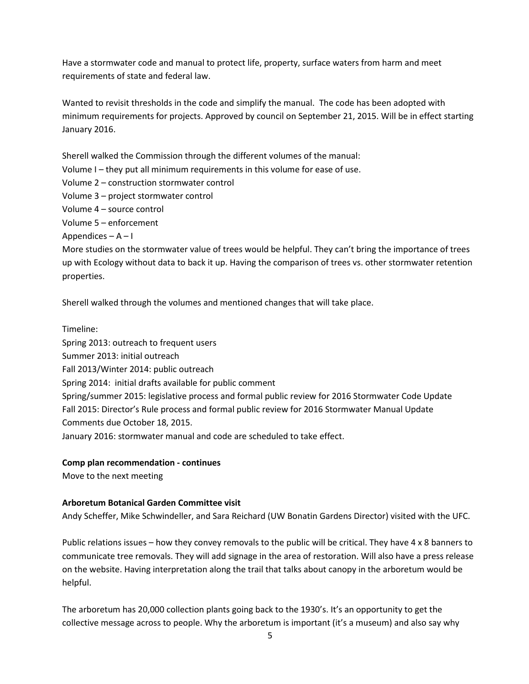Have a stormwater code and manual to protect life, property, surface waters from harm and meet requirements of state and federal law.

Wanted to revisit thresholds in the code and simplify the manual. The code has been adopted with minimum requirements for projects. Approved by council on September 21, 2015. Will be in effect starting January 2016.

Sherell walked the Commission through the different volumes of the manual:

- Volume I they put all minimum requirements in this volume for ease of use.
- Volume 2 construction stormwater control
- Volume 3 project stormwater control
- Volume 4 source control

Volume 5 – enforcement

Appendices  $- A - I$ 

More studies on the stormwater value of trees would be helpful. They can't bring the importance of trees up with Ecology without data to back it up. Having the comparison of trees vs. other stormwater retention properties.

Sherell walked through the volumes and mentioned changes that will take place.

Timeline: Spring 2013: outreach to frequent users Summer 2013: initial outreach Fall 2013/Winter 2014: public outreach Spring 2014: initial drafts available for public comment Spring/summer 2015: legislative process and formal public review for 2016 Stormwater Code Update Fall 2015: Director's Rule process and formal public review for 2016 Stormwater Manual Update Comments due October 18, 2015. January 2016: stormwater manual and code are scheduled to take effect.

## **Comp plan recommendation - continues**

Move to the next meeting

## **Arboretum Botanical Garden Committee visit**

Andy Scheffer, Mike Schwindeller, and Sara Reichard (UW Bonatin Gardens Director) visited with the UFC.

Public relations issues – how they convey removals to the public will be critical. They have 4 x 8 banners to communicate tree removals. They will add signage in the area of restoration. Will also have a press release on the website. Having interpretation along the trail that talks about canopy in the arboretum would be helpful.

The arboretum has 20,000 collection plants going back to the 1930's. It's an opportunity to get the collective message across to people. Why the arboretum is important (it's a museum) and also say why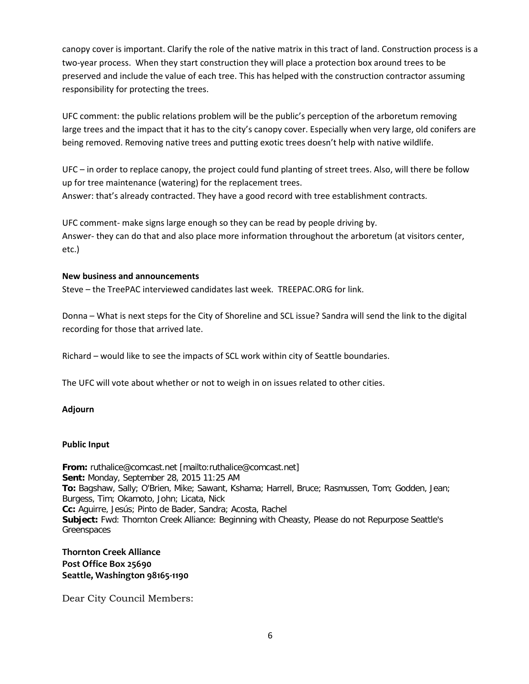canopy cover is important. Clarify the role of the native matrix in this tract of land. Construction process is a two-year process. When they start construction they will place a protection box around trees to be preserved and include the value of each tree. This has helped with the construction contractor assuming responsibility for protecting the trees.

UFC comment: the public relations problem will be the public's perception of the arboretum removing large trees and the impact that it has to the city's canopy cover. Especially when very large, old conifers are being removed. Removing native trees and putting exotic trees doesn't help with native wildlife.

UFC – in order to replace canopy, the project could fund planting of street trees. Also, will there be follow up for tree maintenance (watering) for the replacement trees. Answer: that's already contracted. They have a good record with tree establishment contracts.

UFC comment- make signs large enough so they can be read by people driving by. Answer- they can do that and also place more information throughout the arboretum (at visitors center, etc.)

# **New business and announcements**

Steve – the TreePAC interviewed candidates last week. TREEPAC.ORG for link.

Donna – What is next steps for the City of Shoreline and SCL issue? Sandra will send the link to the digital recording for those that arrived late.

Richard – would like to see the impacts of SCL work within city of Seattle boundaries.

The UFC will vote about whether or not to weigh in on issues related to other cities.

## **Adjourn**

## **Public Input**

**From:** ruthalice@comcast.net [mailto:ruthalice@comcast.net] **Sent:** Monday, September 28, 2015 11:25 AM **To:** Bagshaw, Sally; O'Brien, Mike; Sawant, Kshama; Harrell, Bruce; Rasmussen, Tom; Godden, Jean; Burgess, Tim; Okamoto, John; Licata, Nick **Cc:** Aguirre, Jesús; Pinto de Bader, Sandra; Acosta, Rachel **Subject:** Fwd: Thornton Creek Alliance: Beginning with Cheasty, Please do not Repurpose Seattle's Greenspaces

**Thornton Creek Alliance Post Office Box 25690 Seattle, Washington 98165-1190**

Dear City Council Members: